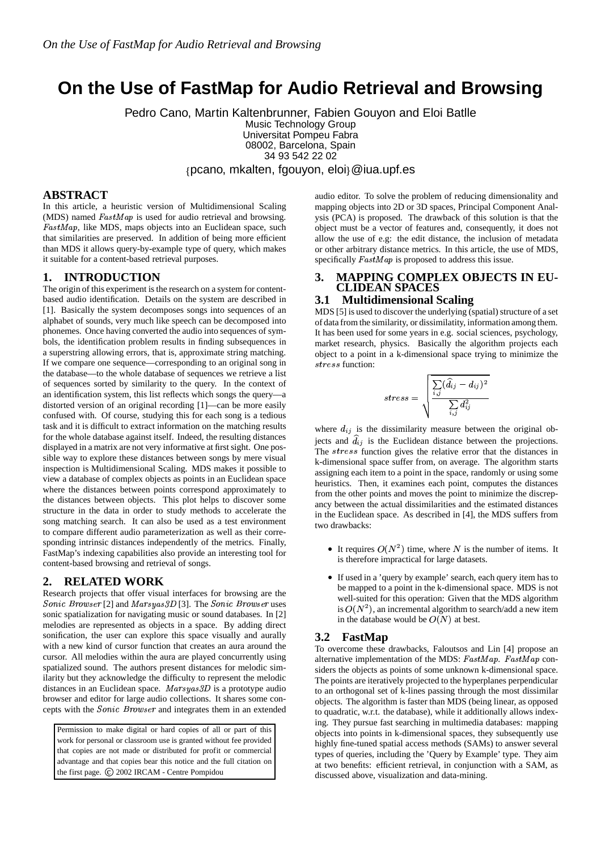# **On the Use of FastMap for Audio Retrieval and Browsing**

Pedro Cano, Martin Kaltenbrunner, Fabien Gouyon and Eloi Batlle Music Technology Group

Universitat Pompeu Fabra 08002, Barcelona, Spain

34 93 542 22 02

{pcano, mkalten, fgouyon, eloi}@iua.upf.es

## **ABSTRACT**

In this article, a heuristic version of Multidimensional Scaling (MDS) named  $FastMap$  is used for audio retrieval and browsing. FastMap, like MDS, maps objects into an Euclidean space, such that similarities are preserved. In addition of being more efficient than MDS it allows query-by-example type of query, which makes it suitable for a content-based retrieval purposes.

#### **1. INTRODUCTION**

The origin of this experiment is the research on a system for contentbased audio identification. Details on the system are described in [1]. Basically the system decomposes songs into sequences of an alphabet of sounds, very much like speech can be decomposed into phonemes. Once having converted the audio into sequences of symbols, the identification problem results in finding subsequences in a superstring allowing errors, that is, approximate string matching. If we compare one sequence—corresponding to an original song in the database—to the whole database of sequences we retrieve a list of sequences sorted by similarity to the query. In the context of an identification system, this list reflects which songs the query—a distorted version of an original recording [1]—can be more easily confused with. Of course, studying this for each song is a tedious task and it is difficult to extract information on the matching results for the whole database against itself. Indeed, the resulting distances displayed in a matrix are not very informative at first sight. One possible way to explore these distances between songs by mere visual inspection is Multidimensional Scaling. MDS makes it possible to view a database of complex objects as points in an Euclidean space where the distances between points correspond approximately to the distances between objects. This plot helps to discover some structure in the data in order to study methods to accelerate the song matching search. It can also be used as a test environment to compare different audio parameterization as well as their corresponding intrinsic distances independently of the metrics. Finally, FastMap's indexing capabilities also provide an interesting tool for content-based browsing and retrieval of songs.

# **2. RELATED WORK**

Research projects that offer visual interfaces for browsing are the  $\emph{Sonic Browser}$  [2] and  $\emph{Marsyas3D}$  [3]. The  $\emph{Sonic Browser}$  uses sonic spatialization for navigating music or sound databases. In [2] melodies are represented as objects in a space. By adding direct sonification, the user can explore this space visually and aurally with a new kind of cursor function that creates an aura around the cursor. All melodies within the aura are played concurrently using spatialized sound. The authors present distances for melodic similarity but they acknowledge the difficulty to represent the melodic distances in an Euclidean space.  $Marsyas3D$  is a prototype audio browser and editor for large audio collections. It shares some concepts with the Sonic Browser and integrates them in an extended

Permission to make digital or hard copies of all or part of this work for personal or classroom use is granted without fee provided that copies are not made or distributed for profit or commercial advantage and that copies bear this notice and the full citation on the first page. (C) 2002 IRCAM - Centre Pompidou

audio editor. To solve the problem of reducing dimensionality and mapping objects into 2D or 3D spaces, Principal Component Analysis (PCA) is proposed. The drawback of this solution is that the object must be a vector of features and, consequently, it does not allow the use of e.g: the edit distance, the inclusion of metadata or other arbitrary distance metrics. In this article, the use of MDS, specifically  $FastMap$  is proposed to address this issue.

#### **3. MAPPING COMPLEX OBJECTS IN EU-CLIDEAN SPACES**

### **3.1 Multidimensional Scaling**

MDS [5] is used to discover the underlying (spatial) structure of a set of data from the similarity, or dissimilatity, information among them. It has been used for some years in e.g. social sciences, psychology, market research, physics. Basically the algorithm projects each object to a point in a k-dimensional space trying to minimize the stress function:

$$
stress = \sqrt{\frac{\sum\limits_{i,j}(\widehat{d}_{ij}-d_{ij})^2}{\sum\limits_{i,j}d_{ij}^2}}
$$

--

where  $d_{ij}$  is the dissimilarity measure between the original objects and  $d_{ij}$  is the Euclidean distance between the projections. The stress function gives the relative error that the distances in k-dimensional space suffer from, on average. The algorithm starts assigning each item to a point in the space, randomly or using some heuristics. Then, it examines each point, computes the distances from the other points and moves the point to minimize the discrepancy between the actual dissimilarities and the estimated distances in the Euclidean space. As described in [4], the MDS suffers from two drawbacks:

- It requires  $O(N^2)$  time, where N is the number of items. It is therefore impractical for large datasets.
- <sup>B</sup> If used in a 'query by example' search, each query item has to be mapped to a point in the k-dimensional space. MDS is not well-suited for this operation: Given that the MDS algorithm is  $O(N^2)$ , an incremental algorithm to search/add a new item in the database would be  $O(N)$  at best.

#### **3.2 FastMap**

To overcome these drawbacks, Faloutsos and Lin [4] propose an alternative implementation of the MDS:  $FastMap$ .  $FastMap$  considers the objects as points of some unknown k-dimensional space. The points are iteratively projected to the hyperplanes perpendicular to an orthogonal set of k-lines passing through the most dissimilar objects. The algorithm is faster than MDS (being linear, as opposed to quadratic, w.r.t. the database), while it additionally allows indexing. They pursue fast searching in multimedia databases: mapping objects into points in k-dimensional spaces, they subsequently use highly fine-tuned spatial access methods (SAMs) to answer several types of queries, including the 'Query by Example' type. They aim at two benefits: efficient retrieval, in conjunction with a SAM, as discussed above, visualization and data-mining.